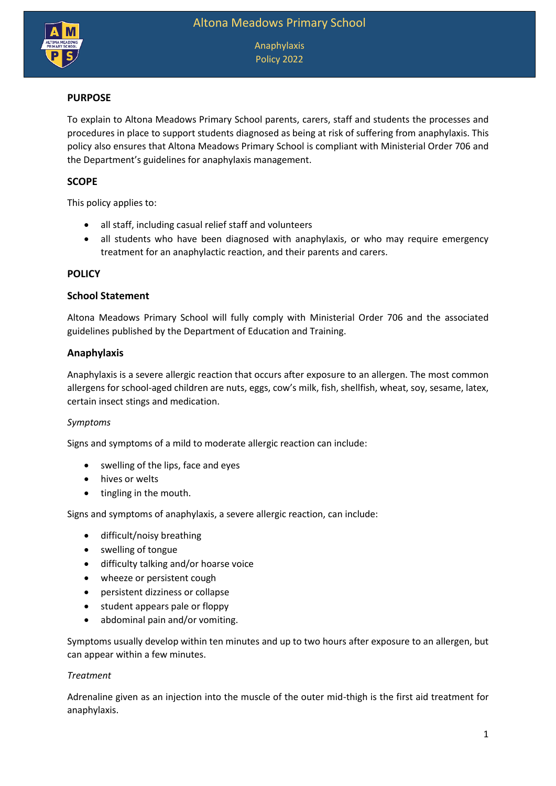

Anaphylaxis Policy 2022

### **PURPOSE**

To explain to Altona Meadows Primary School parents, carers, staff and students the processes and procedures in place to support students diagnosed as being at risk of suffering from anaphylaxis. This policy also ensures that Altona Meadows Primary School is compliant with Ministerial Order 706 and the Department's guidelines for anaphylaxis management.

### **SCOPE**

This policy applies to:

- all staff, including casual relief staff and volunteers
- all students who have been diagnosed with anaphylaxis, or who may require emergency treatment for an anaphylactic reaction, and their parents and carers.

### **POLICY**

#### **School Statement**

Altona Meadows Primary School will fully comply with Ministerial Order 706 and the associated guidelines published by the Department of Education and Training.

### **Anaphylaxis**

Anaphylaxis is a severe allergic reaction that occurs after exposure to an allergen. The most common allergens for school-aged children are nuts, eggs, cow's milk, fish, shellfish, wheat, soy, sesame, latex, certain insect stings and medication.

### *Symptoms*

Signs and symptoms of a mild to moderate allergic reaction can include:

- swelling of the lips, face and eyes
- hives or welts
- tingling in the mouth.

Signs and symptoms of anaphylaxis, a severe allergic reaction, can include:

- difficult/noisy breathing
- swelling of tongue
- difficulty talking and/or hoarse voice
- wheeze or persistent cough
- persistent dizziness or collapse
- student appears pale or floppy
- abdominal pain and/or vomiting.

Symptoms usually develop within ten minutes and up to two hours after exposure to an allergen, but can appear within a few minutes.

### *Treatment*

Adrenaline given as an injection into the muscle of the outer mid-thigh is the first aid treatment for anaphylaxis.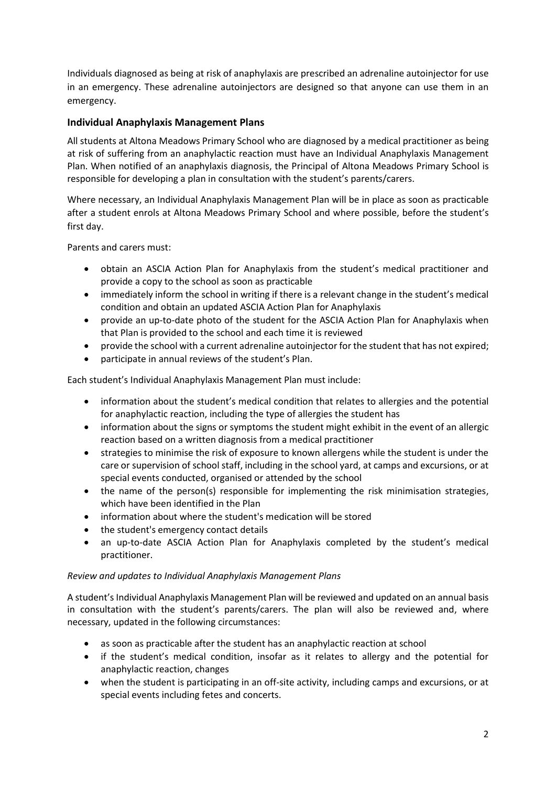Individuals diagnosed as being at risk of anaphylaxis are prescribed an adrenaline autoinjector for use in an emergency. These adrenaline autoinjectors are designed so that anyone can use them in an emergency.

# **Individual Anaphylaxis Management Plans**

All students at Altona Meadows Primary School who are diagnosed by a medical practitioner as being at risk of suffering from an anaphylactic reaction must have an Individual Anaphylaxis Management Plan. When notified of an anaphylaxis diagnosis, the Principal of Altona Meadows Primary School is responsible for developing a plan in consultation with the student's parents/carers.

Where necessary, an Individual Anaphylaxis Management Plan will be in place as soon as practicable after a student enrols at Altona Meadows Primary School and where possible, before the student's first day.

Parents and carers must:

- obtain an ASCIA Action Plan for Anaphylaxis from the student's medical practitioner and provide a copy to the school as soon as practicable
- immediately inform the school in writing if there is a relevant change in the student's medical condition and obtain an updated ASCIA Action Plan for Anaphylaxis
- provide an up-to-date photo of the student for the ASCIA Action Plan for Anaphylaxis when that Plan is provided to the school and each time it is reviewed
- provide the school with a current adrenaline autoinjector for the student that has not expired;
- participate in annual reviews of the student's Plan.

Each student's Individual Anaphylaxis Management Plan must include:

- information about the student's medical condition that relates to allergies and the potential for anaphylactic reaction, including the type of allergies the student has
- information about the signs or symptoms the student might exhibit in the event of an allergic reaction based on a written diagnosis from a medical practitioner
- strategies to minimise the risk of exposure to known allergens while the student is under the care or supervision of school staff, including in the school yard, at camps and excursions, or at special events conducted, organised or attended by the school
- the name of the person(s) responsible for implementing the risk minimisation strategies, which have been identified in the Plan
- information about where the student's medication will be stored
- the student's emergency contact details
- an up-to-date ASCIA Action Plan for Anaphylaxis completed by the student's medical practitioner.

### *Review and updates to Individual Anaphylaxis Management Plans*

A student's Individual Anaphylaxis Management Plan will be reviewed and updated on an annual basis in consultation with the student's parents/carers. The plan will also be reviewed and, where necessary, updated in the following circumstances:

- as soon as practicable after the student has an anaphylactic reaction at school
- if the student's medical condition, insofar as it relates to allergy and the potential for anaphylactic reaction, changes
- when the student is participating in an off-site activity, including camps and excursions, or at special events including fetes and concerts.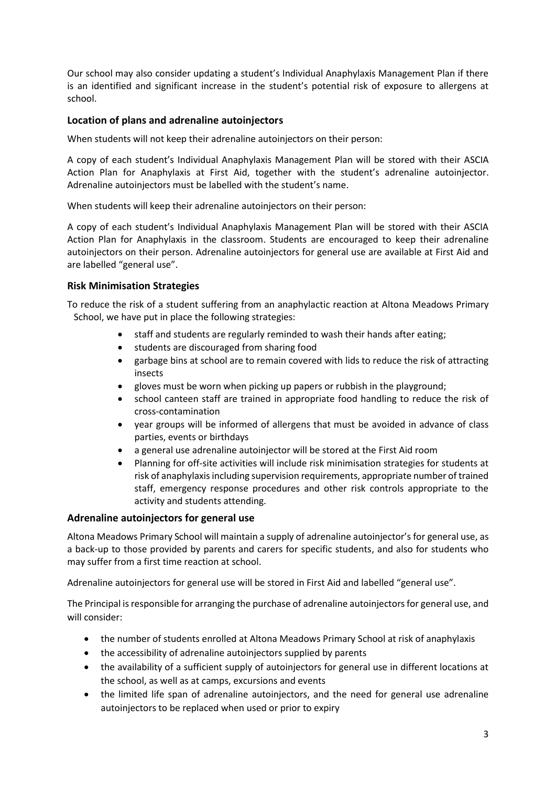Our school may also consider updating a student's Individual Anaphylaxis Management Plan if there is an identified and significant increase in the student's potential risk of exposure to allergens at school.

# **Location of plans and adrenaline autoinjectors**

When students will not keep their adrenaline autoinjectors on their person:

A copy of each student's Individual Anaphylaxis Management Plan will be stored with their ASCIA Action Plan for Anaphylaxis at First Aid, together with the student's adrenaline autoinjector. Adrenaline autoinjectors must be labelled with the student's name.

When students will keep their adrenaline autoinjectors on their person:

A copy of each student's Individual Anaphylaxis Management Plan will be stored with their ASCIA Action Plan for Anaphylaxis in the classroom. Students are encouraged to keep their adrenaline autoinjectors on their person. Adrenaline autoinjectors for general use are available at First Aid and are labelled "general use".

### **Risk Minimisation Strategies**

To reduce the risk of a student suffering from an anaphylactic reaction at Altona Meadows Primary School, we have put in place the following strategies:

- staff and students are regularly reminded to wash their hands after eating;
- students are discouraged from sharing food
- garbage bins at school are to remain covered with lids to reduce the risk of attracting insects
- gloves must be worn when picking up papers or rubbish in the playground;
- school canteen staff are trained in appropriate food handling to reduce the risk of cross-contamination
- year groups will be informed of allergens that must be avoided in advance of class parties, events or birthdays
- a general use adrenaline autoinjector will be stored at the First Aid room
- Planning for off-site activities will include risk minimisation strategies for students at risk of anaphylaxis including supervision requirements, appropriate number of trained staff, emergency response procedures and other risk controls appropriate to the activity and students attending.

### **Adrenaline autoinjectors for general use**

Altona Meadows Primary School will maintain a supply of adrenaline autoinjector's for general use, as a back-up to those provided by parents and carers for specific students, and also for students who may suffer from a first time reaction at school.

Adrenaline autoinjectors for general use will be stored in First Aid and labelled "general use".

The Principal is responsible for arranging the purchase of adrenaline autoinjectors for general use, and will consider:

- the number of students enrolled at Altona Meadows Primary School at risk of anaphylaxis
- the accessibility of adrenaline autoinjectors supplied by parents
- the availability of a sufficient supply of autoinjectors for general use in different locations at the school, as well as at camps, excursions and events
- the limited life span of adrenaline autoinjectors, and the need for general use adrenaline autoinjectors to be replaced when used or prior to expiry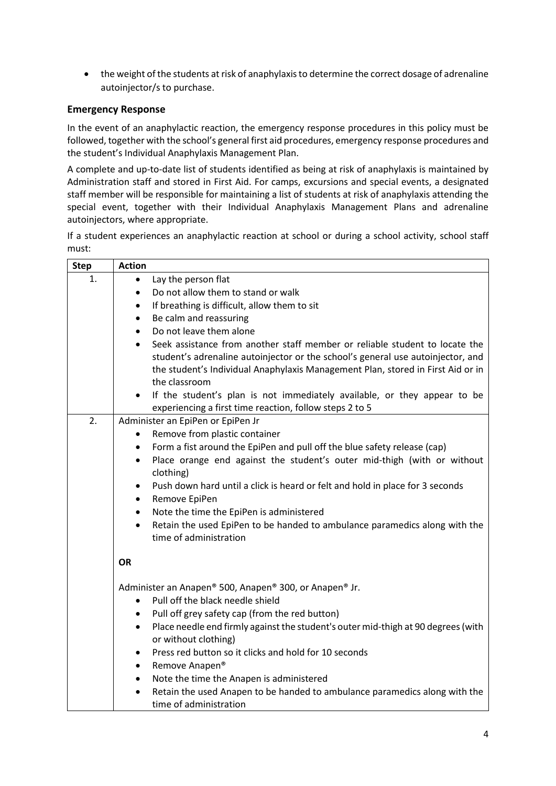the weight of the students at risk of anaphylaxis to determine the correct dosage of adrenaline autoinjector/s to purchase.

# **Emergency Response**

In the event of an anaphylactic reaction, the emergency response procedures in this policy must be followed, together with the school's general first aid procedures, emergency response procedures and the student's Individual Anaphylaxis Management Plan.

A complete and up-to-date list of students identified as being at risk of anaphylaxis is maintained by Administration staff and stored in First Aid. For camps, excursions and special events, a designated staff member will be responsible for maintaining a list of students at risk of anaphylaxis attending the special event, together with their Individual Anaphylaxis Management Plans and adrenaline autoinjectors, where appropriate.

If a student experiences an anaphylactic reaction at school or during a school activity, school staff must:

| <b>Step</b> | <b>Action</b>                                                                                                                                                                                                                                                                                                                                                            |
|-------------|--------------------------------------------------------------------------------------------------------------------------------------------------------------------------------------------------------------------------------------------------------------------------------------------------------------------------------------------------------------------------|
| 1.          | Lay the person flat<br>$\bullet$                                                                                                                                                                                                                                                                                                                                         |
|             | Do not allow them to stand or walk<br>$\bullet$                                                                                                                                                                                                                                                                                                                          |
|             | If breathing is difficult, allow them to sit<br>$\bullet$                                                                                                                                                                                                                                                                                                                |
|             | Be calm and reassuring<br>$\bullet$                                                                                                                                                                                                                                                                                                                                      |
|             | Do not leave them alone<br>$\bullet$                                                                                                                                                                                                                                                                                                                                     |
|             | Seek assistance from another staff member or reliable student to locate the<br>$\bullet$<br>student's adrenaline autoinjector or the school's general use autoinjector, and<br>the student's Individual Anaphylaxis Management Plan, stored in First Aid or in<br>the classroom<br>If the student's plan is not immediately available, or they appear to be<br>$\bullet$ |
|             | experiencing a first time reaction, follow steps 2 to 5                                                                                                                                                                                                                                                                                                                  |
| 2.          | Administer an EpiPen or EpiPen Jr                                                                                                                                                                                                                                                                                                                                        |
|             | Remove from plastic container<br>٠                                                                                                                                                                                                                                                                                                                                       |
|             | Form a fist around the EpiPen and pull off the blue safety release (cap)<br>$\bullet$<br>Place orange end against the student's outer mid-thigh (with or without<br>$\bullet$<br>clothing)                                                                                                                                                                               |
|             | Push down hard until a click is heard or felt and hold in place for 3 seconds<br>$\bullet$<br>Remove EpiPen<br>$\bullet$                                                                                                                                                                                                                                                 |
|             | Note the time the EpiPen is administered<br>$\bullet$                                                                                                                                                                                                                                                                                                                    |
|             | Retain the used EpiPen to be handed to ambulance paramedics along with the<br>$\bullet$<br>time of administration                                                                                                                                                                                                                                                        |
|             | <b>OR</b>                                                                                                                                                                                                                                                                                                                                                                |
|             | Administer an Anapen® 500, Anapen® 300, or Anapen® Jr.<br>Pull off the black needle shield<br>$\bullet$                                                                                                                                                                                                                                                                  |
|             | Pull off grey safety cap (from the red button)<br>$\bullet$                                                                                                                                                                                                                                                                                                              |
|             | Place needle end firmly against the student's outer mid-thigh at 90 degrees (with<br>$\bullet$<br>or without clothing)                                                                                                                                                                                                                                                   |
|             | Press red button so it clicks and hold for 10 seconds<br>$\bullet$                                                                                                                                                                                                                                                                                                       |
|             | Remove Anapen <sup>®</sup><br>$\bullet$                                                                                                                                                                                                                                                                                                                                  |
|             | Note the time the Anapen is administered<br>$\bullet$                                                                                                                                                                                                                                                                                                                    |
|             | Retain the used Anapen to be handed to ambulance paramedics along with the<br>$\bullet$<br>time of administration                                                                                                                                                                                                                                                        |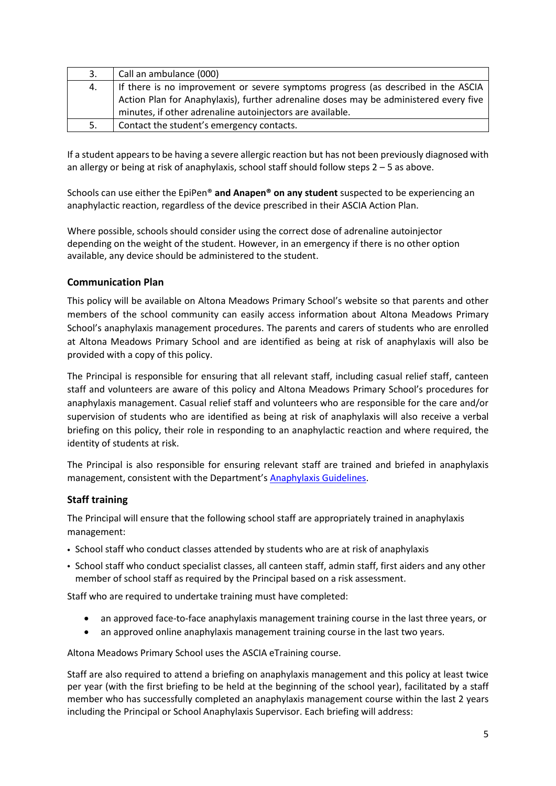| 3. | Call an ambulance (000)                                                               |
|----|---------------------------------------------------------------------------------------|
| 4. | If there is no improvement or severe symptoms progress (as described in the ASCIA     |
|    | Action Plan for Anaphylaxis), further adrenaline doses may be administered every five |
|    | minutes, if other adrenaline autoinjectors are available.                             |
| 5. | Contact the student's emergency contacts.                                             |

If a student appears to be having a severe allergic reaction but has not been previously diagnosed with an allergy or being at risk of anaphylaxis, school staff should follow steps  $2 - 5$  as above.

Schools can use either the EpiPen® **and Anapen® on any student** suspected to be experiencing an anaphylactic reaction, regardless of the device prescribed in their ASCIA Action Plan.

Where possible, schools should consider using the correct dose of adrenaline autoinjector depending on the weight of the student. However, in an emergency if there is no other option available, any device should be administered to the student.

# **Communication Plan**

This policy will be available on Altona Meadows Primary School's website so that parents and other members of the school community can easily access information about Altona Meadows Primary School's anaphylaxis management procedures. The parents and carers of students who are enrolled at Altona Meadows Primary School and are identified as being at risk of anaphylaxis will also be provided with a copy of this policy.

The Principal is responsible for ensuring that all relevant staff, including casual relief staff, canteen staff and volunteers are aware of this policy and Altona Meadows Primary School's procedures for anaphylaxis management. Casual relief staff and volunteers who are responsible for the care and/or supervision of students who are identified as being at risk of anaphylaxis will also receive a verbal briefing on this policy, their role in responding to an anaphylactic reaction and where required, the identity of students at risk.

The Principal is also responsible for ensuring relevant staff are trained and briefed in anaphylaxis management, consistent with the Department's [Anaphylaxis Guidelines.](https://www2.education.vic.gov.au/pal/anaphylaxis/guidance)

# **Staff training**

The Principal will ensure that the following school staff are appropriately trained in anaphylaxis management:

- School staff who conduct classes attended by students who are at risk of anaphylaxis
- School staff who conduct specialist classes, all canteen staff, admin staff, first aiders and any other member of school staff as required by the Principal based on a risk assessment.

Staff who are required to undertake training must have completed:

- an approved face-to-face anaphylaxis management training course in the last three years, or
- an approved online anaphylaxis management training course in the last two years.

Altona Meadows Primary School uses the ASCIA eTraining course.

Staff are also required to attend a briefing on anaphylaxis management and this policy at least twice per year (with the first briefing to be held at the beginning of the school year), facilitated by a staff member who has successfully completed an anaphylaxis management course within the last 2 years including the Principal or School Anaphylaxis Supervisor. Each briefing will address: